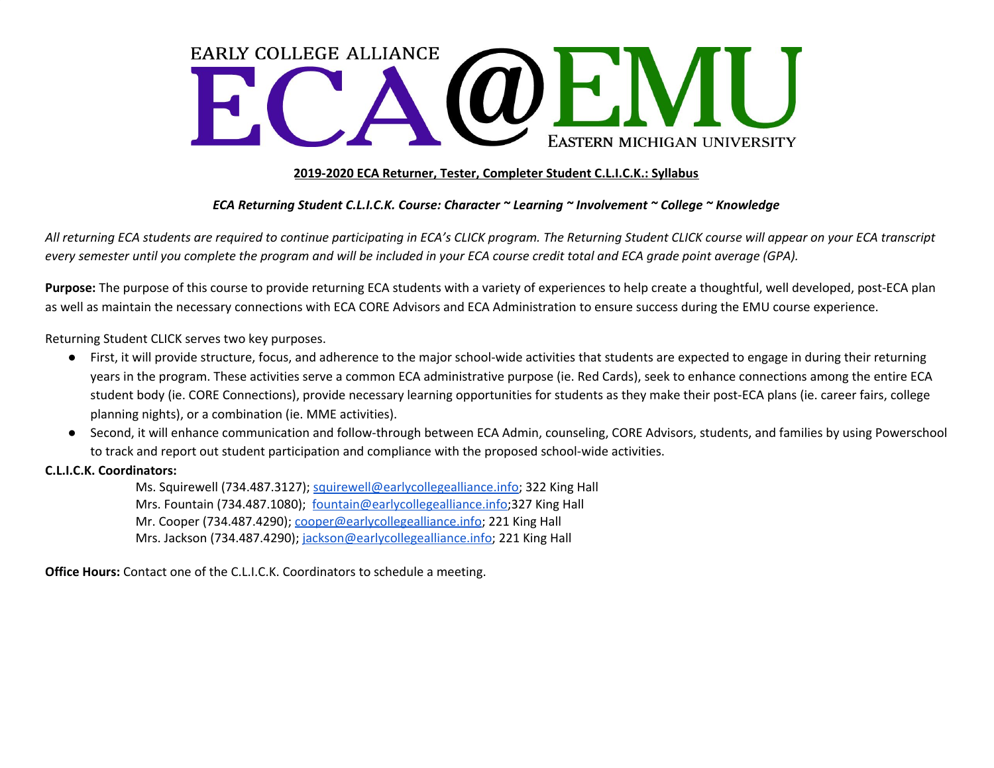# **EARLY COLLEGE ALLIANCE** WE IV EASTERN MICHIGAN UNIVERSITY

## **2019-2020 ECA Returner, Tester, Completer Student C.L.I.C.K.: Syllabus**

## *ECA Returning Student C.L.I.C.K. Course: Character ~ Learning ~ Involvement ~ College ~ Knowledge*

All returning ECA students are required to continue participating in ECA's CLICK program. The Returning Student CLICK course will appear on your ECA transcript every semester until you complete the program and will be included in your ECA course credit total and ECA grade point average (GPA).

**Purpose:** The purpose of this course to provide returning ECA students with a variety of experiences to help create a thoughtful, well developed, post-ECA plan as well as maintain the necessary connections with ECA CORE Advisors and ECA Administration to ensure success during the EMU course experience.

Returning Student CLICK serves two key purposes.

- First, it will provide structure, focus, and adherence to the major school-wide activities that students are expected to engage in during their returning years in the program. These activities serve a common ECA administrative purpose (ie. Red Cards), seek to enhance connections among the entire ECA student body (ie. CORE Connections), provide necessary learning opportunities for students as they make their post-ECA plans (ie. career fairs, college planning nights), or a combination (ie. MME activities).
- Second, it will enhance communication and follow-through between ECA Admin, counseling, CORE Advisors, students, and families by using Powerschool to track and report out student participation and compliance with the proposed school-wide activities.

#### **C.L.I.C.K. Coordinators:**

Ms. Squirewell (734.487.3127); [squirewell@earlycollegealliance.info](mailto:squirewell@earlycollegealliance.info); 322 King Hall Mrs. Fountain (734.487.1080); [fountain@earlycollegealliance.info](mailto:fountain@earlycollegealliance.info);327 King Hall Mr. Cooper (734.487.4290); [cooper@earlycollegealliance.info;](mailto:cooper@earlycollegealliance.info) 221 King Hall Mrs. Jackson (734.487.4290); [jackson@earlycollegealliance.info](mailto:jackson@earlycollegealliance.info); 221 King Hall

**Office Hours:** Contact one of the C.L.I.C.K. Coordinators to schedule a meeting.